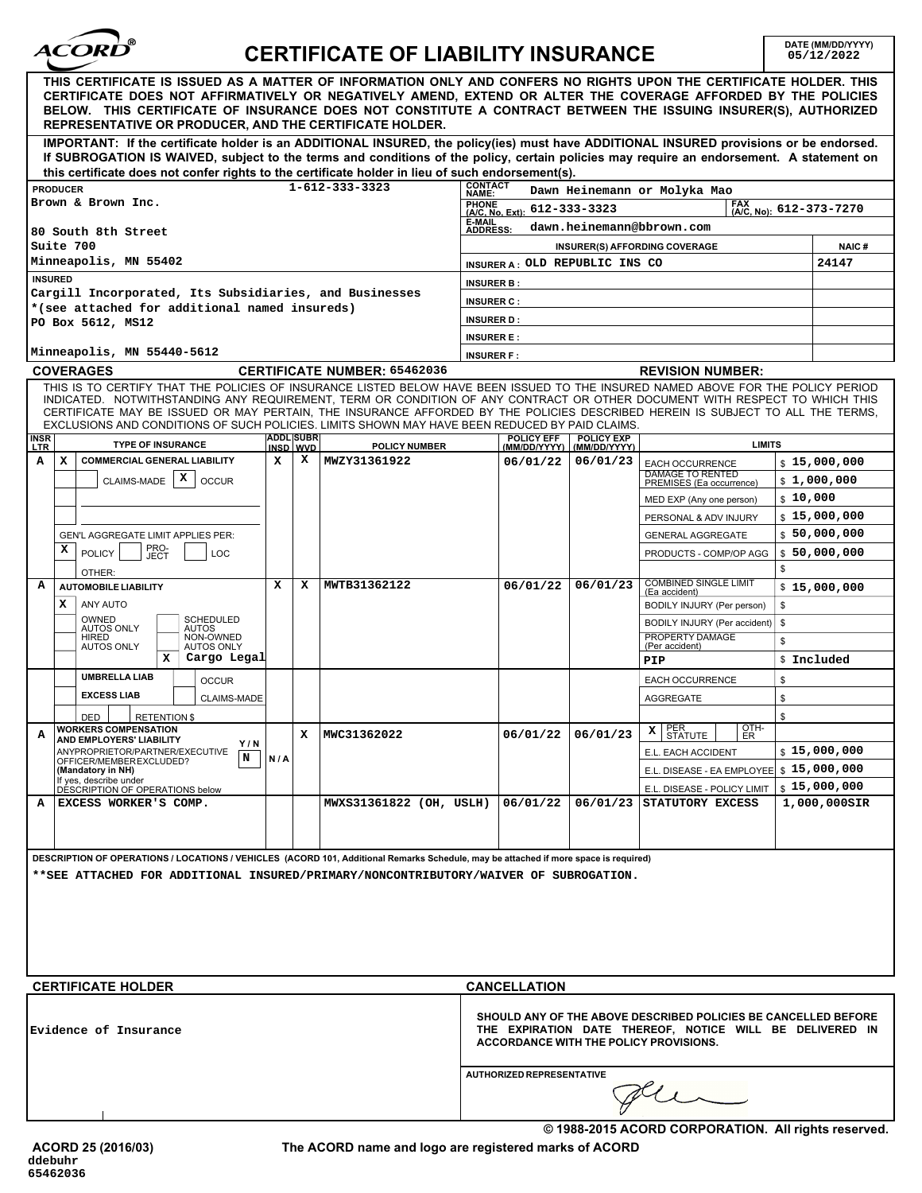

## **CERTIFICATE OF LIABILITY INSURANCE**

**DATE (MM/DD/YYYY)**<br>05/12/2022

| THIS CERTIFICATE IS ISSUED AS A MATTER OF INFORMATION ONLY AND CONFERS NO RIGHTS UPON THE CERTIFICATE HOLDER. THIS<br>CERTIFICATE DOES NOT AFFIRMATIVELY OR NEGATIVELY AMEND, EXTEND OR ALTER THE COVERAGE AFFORDED BY THE POLICIES<br>BELOW. THIS CERTIFICATE OF INSURANCE DOES NOT CONSTITUTE A CONTRACT BETWEEN THE ISSUING INSURER(S), AUTHORIZED<br>REPRESENTATIVE OR PRODUCER, AND THE CERTIFICATE HOLDER.                                                                                   |                                                      |   |                         |  |                                                                                                                                                                      |          |                                                     |              |                        |  |
|----------------------------------------------------------------------------------------------------------------------------------------------------------------------------------------------------------------------------------------------------------------------------------------------------------------------------------------------------------------------------------------------------------------------------------------------------------------------------------------------------|------------------------------------------------------|---|-------------------------|--|----------------------------------------------------------------------------------------------------------------------------------------------------------------------|----------|-----------------------------------------------------|--------------|------------------------|--|
| IMPORTANT: If the certificate holder is an ADDITIONAL INSURED, the policy(ies) must have ADDITIONAL INSURED provisions or be endorsed.<br>If SUBROGATION IS WAIVED, subject to the terms and conditions of the policy, certain policies may require an endorsement. A statement on<br>this certificate does not confer rights to the certificate holder in lieu of such endorsement(s).                                                                                                            |                                                      |   |                         |  |                                                                                                                                                                      |          |                                                     |              |                        |  |
| $1 - 612 - 333 - 3323$<br><b>PRODUCER</b>                                                                                                                                                                                                                                                                                                                                                                                                                                                          |                                                      |   |                         |  | <b>CONTACT</b><br>Dawn Heinemann or Molyka Mao<br>NAME:                                                                                                              |          |                                                     |              |                        |  |
| Brown & Brown Inc.                                                                                                                                                                                                                                                                                                                                                                                                                                                                                 |                                                      |   |                         |  | <b>FAX</b><br><b>PHONE</b><br>612-333-3323<br>(A/C, No): 612-373-7270<br>(A/C, No, Ext):                                                                             |          |                                                     |              |                        |  |
| 80 South 8th Street                                                                                                                                                                                                                                                                                                                                                                                                                                                                                |                                                      |   |                         |  | E-MAIL<br>dawn.heinemann@bbrown.com<br><b>ADDRESS:</b>                                                                                                               |          |                                                     |              |                        |  |
| Suite 700                                                                                                                                                                                                                                                                                                                                                                                                                                                                                          |                                                      |   |                         |  | <b>INSURER(S) AFFORDING COVERAGE</b>                                                                                                                                 |          |                                                     |              |                        |  |
| Minneapolis, MN 55402                                                                                                                                                                                                                                                                                                                                                                                                                                                                              |                                                      |   |                         |  | INSURER A: OLD REPUBLIC INS CO                                                                                                                                       |          |                                                     |              |                        |  |
| <b>INSURED</b>                                                                                                                                                                                                                                                                                                                                                                                                                                                                                     |                                                      |   |                         |  | <b>INSURER B:</b>                                                                                                                                                    |          |                                                     |              |                        |  |
| Cargill Incorporated, Its Subsidiaries, and Businesses<br>*(see attached for additional named insureds)                                                                                                                                                                                                                                                                                                                                                                                            |                                                      |   |                         |  | <b>INSURER C:</b>                                                                                                                                                    |          |                                                     |              |                        |  |
| PO Box 5612, MS12                                                                                                                                                                                                                                                                                                                                                                                                                                                                                  |                                                      |   |                         |  | <b>INSURER D:</b>                                                                                                                                                    |          |                                                     |              |                        |  |
|                                                                                                                                                                                                                                                                                                                                                                                                                                                                                                    |                                                      |   |                         |  | <b>INSURER E:</b>                                                                                                                                                    |          |                                                     |              |                        |  |
| Minneapolis, MN 55440-5612                                                                                                                                                                                                                                                                                                                                                                                                                                                                         |                                                      |   |                         |  | <b>INSURER F:</b>                                                                                                                                                    |          |                                                     |              |                        |  |
| <b>COVERAGES</b><br><b>CERTIFICATE NUMBER: 65462036</b>                                                                                                                                                                                                                                                                                                                                                                                                                                            |                                                      |   |                         |  | <b>REVISION NUMBER:</b>                                                                                                                                              |          |                                                     |              |                        |  |
| THIS IS TO CERTIFY THAT THE POLICIES OF INSURANCE LISTED BELOW HAVE BEEN ISSUED TO THE INSURED NAMED ABOVE FOR THE POLICY PERIOD<br>INDICATED. NOTWITHSTANDING ANY REQUIREMENT, TERM OR CONDITION OF ANY CONTRACT OR OTHER DOCUMENT WITH RESPECT TO WHICH THIS<br>CERTIFICATE MAY BE ISSUED OR MAY PERTAIN, THE INSURANCE AFFORDED BY THE POLICIES DESCRIBED HEREIN IS SUBJECT TO ALL THE TERMS,<br>EXCLUSIONS AND CONDITIONS OF SUCH POLICIES. LIMITS SHOWN MAY HAVE BEEN REDUCED BY PAID CLAIMS. |                                                      |   |                         |  |                                                                                                                                                                      |          |                                                     |              |                        |  |
| <b>INSR</b><br>LTR<br><b>TYPE OF INSURANCE</b>                                                                                                                                                                                                                                                                                                                                                                                                                                                     | <b>ADDL SUBR</b><br><b>POLICY NUMBER</b><br>INSD WVD |   |                         |  | <b>POLICY EFF</b><br><b>POLICY EXP</b><br><b>LIMITS</b><br>(MM/DD/YYYY)<br>(MM/DD/YYYY)                                                                              |          |                                                     |              |                        |  |
| A<br><b>COMMERCIAL GENERAL LIABILITY</b><br>x                                                                                                                                                                                                                                                                                                                                                                                                                                                      | x                                                    | x | MWZY31361922            |  | 06/01/22                                                                                                                                                             | 06/01/23 | <b>EACH OCCURRENCE</b>                              |              | \$15,000,000           |  |
| x<br><b>CLAIMS-MADE</b><br><b>OCCUR</b>                                                                                                                                                                                                                                                                                                                                                                                                                                                            |                                                      |   |                         |  |                                                                                                                                                                      |          | <b>DAMAGE TO RENTED</b><br>PREMISES (Ea occurrence) |              | \$1,000,000            |  |
|                                                                                                                                                                                                                                                                                                                                                                                                                                                                                                    |                                                      |   |                         |  |                                                                                                                                                                      |          | MED EXP (Any one person)                            | \$10,000     |                        |  |
|                                                                                                                                                                                                                                                                                                                                                                                                                                                                                                    |                                                      |   |                         |  |                                                                                                                                                                      |          | PERSONAL & ADV INJURY                               | \$15,000,000 |                        |  |
| GEN'L AGGREGATE LIMIT APPLIES PER:                                                                                                                                                                                                                                                                                                                                                                                                                                                                 |                                                      |   |                         |  |                                                                                                                                                                      |          | <b>GENERAL AGGREGATE</b>                            |              | \$50,000,000           |  |
| PRO-<br>JECT<br>х<br><b>POLICY</b><br>LOC                                                                                                                                                                                                                                                                                                                                                                                                                                                          |                                                      |   |                         |  |                                                                                                                                                                      |          | PRODUCTS - COMP/OP AGG                              |              | \$50,000,000           |  |
| OTHER:                                                                                                                                                                                                                                                                                                                                                                                                                                                                                             |                                                      |   |                         |  |                                                                                                                                                                      |          | \$                                                  |              |                        |  |
| А<br><b>AUTOMOBILE LIABILITY</b>                                                                                                                                                                                                                                                                                                                                                                                                                                                                   | x                                                    | x | MWTB31362122            |  | 06/01/22                                                                                                                                                             | 06/01/23 | <b>COMBINED SINGLE LIMIT</b><br>(Ea accident)       | \$15,000,000 |                        |  |
| ANY AUTO<br>х                                                                                                                                                                                                                                                                                                                                                                                                                                                                                      |                                                      |   |                         |  |                                                                                                                                                                      |          | \$<br>BODILY INJURY (Per person)                    |              |                        |  |
| SCHEDULED<br>OWNED<br><b>AUTOS ONLY</b><br><b>AUTOS</b><br>NON-OWNED                                                                                                                                                                                                                                                                                                                                                                                                                               |                                                      |   |                         |  |                                                                                                                                                                      |          | \$<br>BODILY INJURY (Per accident)                  |              |                        |  |
| HIRED<br><b>AUTOS ONLY</b><br><b>AUTOS ONLY</b>                                                                                                                                                                                                                                                                                                                                                                                                                                                    |                                                      |   |                         |  |                                                                                                                                                                      |          | PROPERTY DAMAGE<br>\$<br>(Per accident)             |              |                        |  |
| Cargo Legal<br>x                                                                                                                                                                                                                                                                                                                                                                                                                                                                                   |                                                      |   |                         |  |                                                                                                                                                                      |          | PIP                                                 |              | \$ Included            |  |
| <b>UMBRELLA LIAB</b><br><b>OCCUR</b>                                                                                                                                                                                                                                                                                                                                                                                                                                                               |                                                      |   |                         |  |                                                                                                                                                                      |          | <b>EACH OCCURRENCE</b><br>\$                        |              |                        |  |
| <b>EXCESS LIAB</b><br><b>CLAIMS-MADE</b>                                                                                                                                                                                                                                                                                                                                                                                                                                                           |                                                      |   |                         |  |                                                                                                                                                                      |          | \$<br><b>AGGREGATE</b>                              |              |                        |  |
| <b>RETENTION \$</b><br>DED                                                                                                                                                                                                                                                                                                                                                                                                                                                                         |                                                      |   |                         |  |                                                                                                                                                                      |          | \$<br>OIH-                                          |              |                        |  |
| <b>WORKERS COMPENSATION</b><br>А<br><b>AND EMPLOYERS' LIABILITY</b><br>Y/N                                                                                                                                                                                                                                                                                                                                                                                                                         |                                                      | x | MWC31362022             |  | 06/01/22                                                                                                                                                             | 06/01/23 | PER,<br>XI.<br>$\vert$ SIAIUIE $\vert$ ER           |              |                        |  |
| ANYPROPRIETOR/PARTNER/EXECUTIVE<br>N<br>N/A<br>OFFICER/MEMBEREXCLUDED?                                                                                                                                                                                                                                                                                                                                                                                                                             |                                                      |   |                         |  |                                                                                                                                                                      |          | E.L. EACH ACCIDENT                                  |              | $\frac{15,000,000}{ }$ |  |
| (Mandatory in NH)<br>If yes, describe under                                                                                                                                                                                                                                                                                                                                                                                                                                                        |                                                      |   |                         |  |                                                                                                                                                                      |          | E.L. DISEASE - EA EMPLOYEE \$ 15,000,000            |              |                        |  |
| DESCRIPTION OF OPERATIONS below                                                                                                                                                                                                                                                                                                                                                                                                                                                                    |                                                      |   |                         |  |                                                                                                                                                                      |          | E.L. DISEASE - POLICY LIMIT                         |              | \$15,000,000           |  |
| EXCESS WORKER'S COMP.<br>A                                                                                                                                                                                                                                                                                                                                                                                                                                                                         |                                                      |   | MWXS31361822 (OH, USLH) |  | 06/01/22                                                                                                                                                             | 06/01/23 | STATUTORY EXCESS                                    |              | 1,000,000SIR           |  |
|                                                                                                                                                                                                                                                                                                                                                                                                                                                                                                    |                                                      |   |                         |  |                                                                                                                                                                      |          |                                                     |              |                        |  |
|                                                                                                                                                                                                                                                                                                                                                                                                                                                                                                    |                                                      |   |                         |  |                                                                                                                                                                      |          |                                                     |              |                        |  |
| DESCRIPTION OF OPERATIONS / LOCATIONS / VEHICLES (ACORD 101, Additional Remarks Schedule, may be attached if more space is required)<br>**SEE ATTACHED FOR ADDITIONAL INSURED/PRIMARY/NONCONTRIBUTORY/WAIVER OF SUBROGATION.                                                                                                                                                                                                                                                                       |                                                      |   |                         |  |                                                                                                                                                                      |          |                                                     |              |                        |  |
|                                                                                                                                                                                                                                                                                                                                                                                                                                                                                                    |                                                      |   |                         |  |                                                                                                                                                                      |          |                                                     |              |                        |  |
|                                                                                                                                                                                                                                                                                                                                                                                                                                                                                                    |                                                      |   |                         |  |                                                                                                                                                                      |          |                                                     |              |                        |  |
| <b>CERTIFICATE HOLDER</b>                                                                                                                                                                                                                                                                                                                                                                                                                                                                          |                                                      |   |                         |  | <b>CANCELLATION</b>                                                                                                                                                  |          |                                                     |              |                        |  |
|                                                                                                                                                                                                                                                                                                                                                                                                                                                                                                    |                                                      |   |                         |  |                                                                                                                                                                      |          |                                                     |              |                        |  |
| Evidence of Insurance                                                                                                                                                                                                                                                                                                                                                                                                                                                                              |                                                      |   |                         |  | SHOULD ANY OF THE ABOVE DESCRIBED POLICIES BE CANCELLED BEFORE<br>THE EXPIRATION DATE THEREOF, NOTICE WILL BE DELIVERED IN<br>ACCORDANCE WITH THE POLICY PROVISIONS. |          |                                                     |              |                        |  |
|                                                                                                                                                                                                                                                                                                                                                                                                                                                                                                    |                                                      |   |                         |  | AUTHORIZED REPRESENTATIVE                                                                                                                                            |          |                                                     |              |                        |  |
|                                                                                                                                                                                                                                                                                                                                                                                                                                                                                                    |                                                      |   |                         |  |                                                                                                                                                                      |          |                                                     |              |                        |  |
| © 1988-2015 ACORD CORPORATION. All rights reserved.                                                                                                                                                                                                                                                                                                                                                                                                                                                |                                                      |   |                         |  |                                                                                                                                                                      |          |                                                     |              |                        |  |

**The ACORD name and logo are registered marks of ACORD**